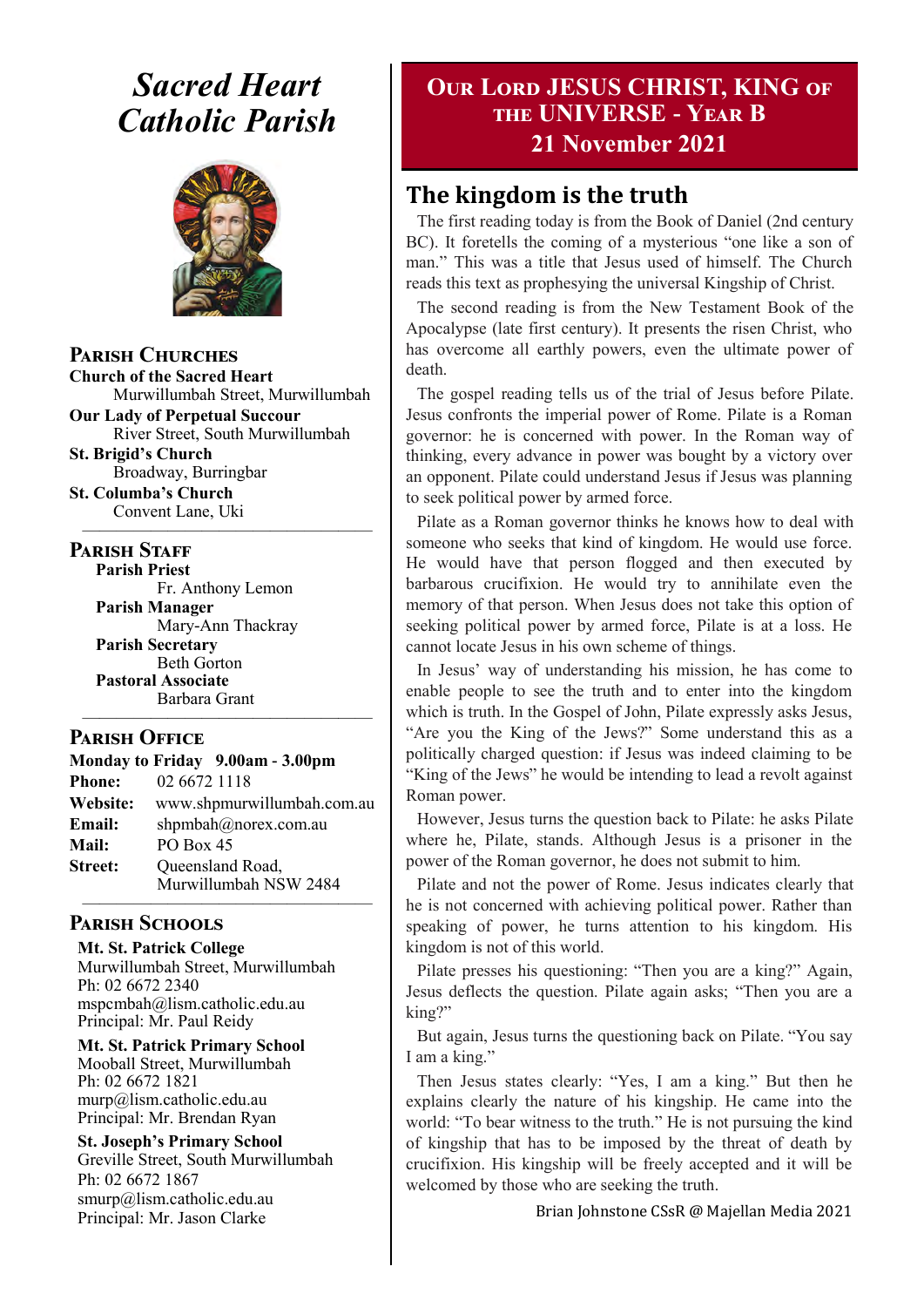## *Sacred Heart Catholic Parish*



**Parish Churches**

**Church of the Sacred Heart** Murwillumbah Street, Murwillumbah

**Our Lady of Perpetual Succour** River Street, South Murwillumbah

**St. Brigid's Church** Broadway, Burringbar

**St. Columba's Church** Convent Lane, Uki —————————————————

#### **PARISH STAFF**

**Parish Priest** Fr. Anthony Lemon

**Parish Manager** Mary-Ann Thackray **Parish Secretary** Beth Gorton **Pastoral Associate** Barbara Grant

#### **Parish Office**

**Monday to Friday 9.00am - 3.00pm Phone:** 02 6672 1118 **Website:** www.shpmurwillumbah.com.au **Email:** shpmbah@norex.com.au **Mail:** PO Box 45 **Street:** Oueensland Road, Murwillumbah NSW 2484

—————————————————

#### ————————————————— **Parish Schools**

**Mt. St. Patrick College** Murwillumbah Street, Murwillumbah Ph: 02 6672 2340 mspcmbah@lism.catholic.edu.au Principal: Mr. Paul Reidy

**Mt. St. Patrick Primary School** Mooball Street, Murwillumbah Ph: 02 6672 1821 murp@lism.catholic.edu.au Principal: Mr. Brendan Ryan

**St. Joseph's Primary School** Greville Street, South Murwillumbah Ph: 02 6672 1867 smurp@lism.catholic.edu.au Principal: Mr. Jason Clarke

## **Our Lord JESUS CHRIST, KING of the UNIVERSE - Year B 21 November 2021**

## **The kingdom is the truth**

The first reading today is from the Book of Daniel (2nd century BC). It foretells the coming of a mysterious "one like a son of man." This was a title that Jesus used of himself. The Church reads this text as prophesying the universal Kingship of Christ.

The second reading is from the New Testament Book of the Apocalypse (late first century). It presents the risen Christ, who has overcome all earthly powers, even the ultimate power of death.

The gospel reading tells us of the trial of Jesus before Pilate. Jesus confronts the imperial power of Rome. Pilate is a Roman governor: he is concerned with power. In the Roman way of thinking, every advance in power was bought by a victory over an opponent. Pilate could understand Jesus if Jesus was planning to seek political power by armed force.

Pilate as a Roman governor thinks he knows how to deal with someone who seeks that kind of kingdom. He would use force. He would have that person flogged and then executed by barbarous crucifixion. He would try to annihilate even the memory of that person. When Jesus does not take this option of seeking political power by armed force, Pilate is at a loss. He cannot locate Jesus in his own scheme of things.

In Jesus' way of understanding his mission, he has come to enable people to see the truth and to enter into the kingdom which is truth. In the Gospel of John, Pilate expressly asks Jesus, "Are you the King of the Jews?" Some understand this as a politically charged question: if Jesus was indeed claiming to be "King of the Jews" he would be intending to lead a revolt against Roman power.

However, Jesus turns the question back to Pilate: he asks Pilate where he, Pilate, stands. Although Jesus is a prisoner in the power of the Roman governor, he does not submit to him.

Pilate and not the power of Rome. Jesus indicates clearly that he is not concerned with achieving political power. Rather than speaking of power, he turns attention to his kingdom. His kingdom is not of this world.

Pilate presses his questioning: "Then you are a king?" Again, Jesus deflects the question. Pilate again asks; "Then you are a king?"

But again, Jesus turns the questioning back on Pilate. "You say I am a king."

Then Jesus states clearly: "Yes, I am a king." But then he explains clearly the nature of his kingship. He came into the world: "To bear witness to the truth." He is not pursuing the kind of kingship that has to be imposed by the threat of death by crucifixion. His kingship will be freely accepted and it will be welcomed by those who are seeking the truth.

Brian Johnstone CSsR @ Majellan Media 2021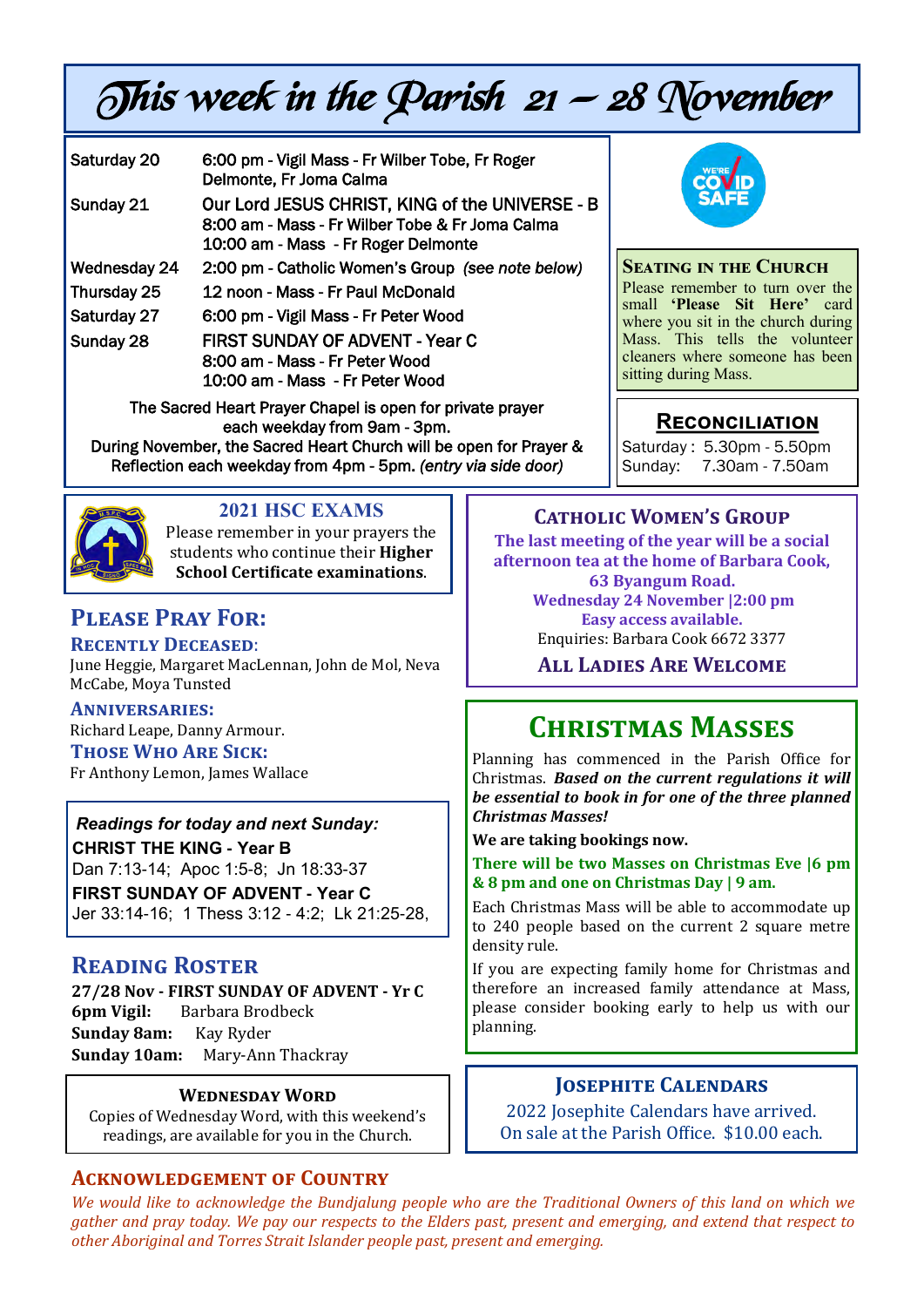# This week in the Parish  $21 - 28$  November

| Saturday 20                                               | 6:00 pm - Vigil Mass - Fr Wilber Tobe, Fr Roger<br>Delmonte, Fr Joma Calma                                                                |
|-----------------------------------------------------------|-------------------------------------------------------------------------------------------------------------------------------------------|
| Sunday 21                                                 | Our Lord JESUS CHRIST, KING of the UNIVERSE - B<br>8:00 am - Mass - Fr Wilber Tobe & Fr Joma Calma<br>10:00 am - Mass - Fr Roger Delmonte |
| Wednesday 24                                              | 2:00 pm - Catholic Women's Group (see note below)                                                                                         |
| Thursday 25                                               | 12 noon - Mass - Fr Paul McDonald                                                                                                         |
| Saturday 27                                               | 6:00 pm - Vigil Mass - Fr Peter Wood                                                                                                      |
| Sunday 28                                                 | FIRST SUNDAY OF ADVENT - Year C<br>8:00 am - Mass - Fr Peter Wood<br>10:00 am - Mass - Fr Peter Wood                                      |
| The Sacred Heart Prayer Chapel is open for private prayer |                                                                                                                                           |

each weekday from 9am - 3pm. During November, the Sacred Heart Church will be open for Prayer &

Reflection each weekday from 4pm - 5pm. *(entry via side door)* 



## **2021 HSC EXAMS**

Please remember in your prayers the students who continue their **Higher School Certificate examinations**.

## **Please Pray For:**

**Recently Deceased**:

June Heggie, Margaret MacLennan, John de Mol, Neva McCabe, Moya Tunsted

## **Anniversaries:**

Richard Leape, Danny Armour.

**Those Who Are Sick:**  Fr Anthony Lemon, James Wallace

## *Readings for today and next Sunday:*

**CHRIST THE KING - Year B**  Dan 7:13-14; Apoc 1:5-8; Jn 18:33-37 **FIRST SUNDAY OF ADVENT - Year C**  Jer 33:14-16; 1 Thess 3:12 - 4:2; Lk 21:25-28,

## **Reading Roster**

**27/28 Nov - FIRST SUNDAY OF ADVENT - Yr C 6pm Vigil:** Barbara Brodbeck **Sunday 8am:** Kay Ryder **Sunday 10am:** Mary-Ann Thackray

#### **Wednesday Word**

Copies of Wednesday Word, with this weekend's readings, are available for you in the Church.

#### **Acknowledgement of Country**

**Catholic Women's Group The last meeting of the year will be a social afternoon tea at the home of Barbara Cook, 63 Byangum Road. Wednesday 24 November |2:00 pm Easy access available.** Enquiries: Barbara Cook 6672 3377

**All Ladies Are Welcome**

## **Christmas Masses**

Planning has commenced in the Parish Office for Christmas. *Based on the current regulations it will be essential to book in for one of the three planned Christmas Masses!* 

**We are taking bookings now.** 

**There will be two Masses on Christmas Eve |6 pm & 8 pm and one on Christmas Day | 9 am.** 

Each Christmas Mass will be able to accommodate up to 240 people based on the current 2 square metre density rule.

If you are expecting family home for Christmas and therefore an increased family attendance at Mass, please consider booking early to help us with our planning.

#### **Josephite Calendars**

2022 Josephite Calendars have arrived. On sale at the Parish Office. \$10.00 each.

*We would like to acknowledge the Bundjalung people who are the Traditional Owners of this land on which we gather and pray today. We pay our respects to the Elders past, present and emerging, and extend that respect to other Aboriginal and Torres Strait Islander people past, present and emerging.* 



**Seating in the Church** Please remember to turn over the small **'Please Sit Here'** card where you sit in the church during Mass. This tells the volunteer cleaners where someone has been sitting during Mass.

## **Reconciliation**

Saturday : 5.30pm - 5.50pm Sunday: 7.30am - 7.50am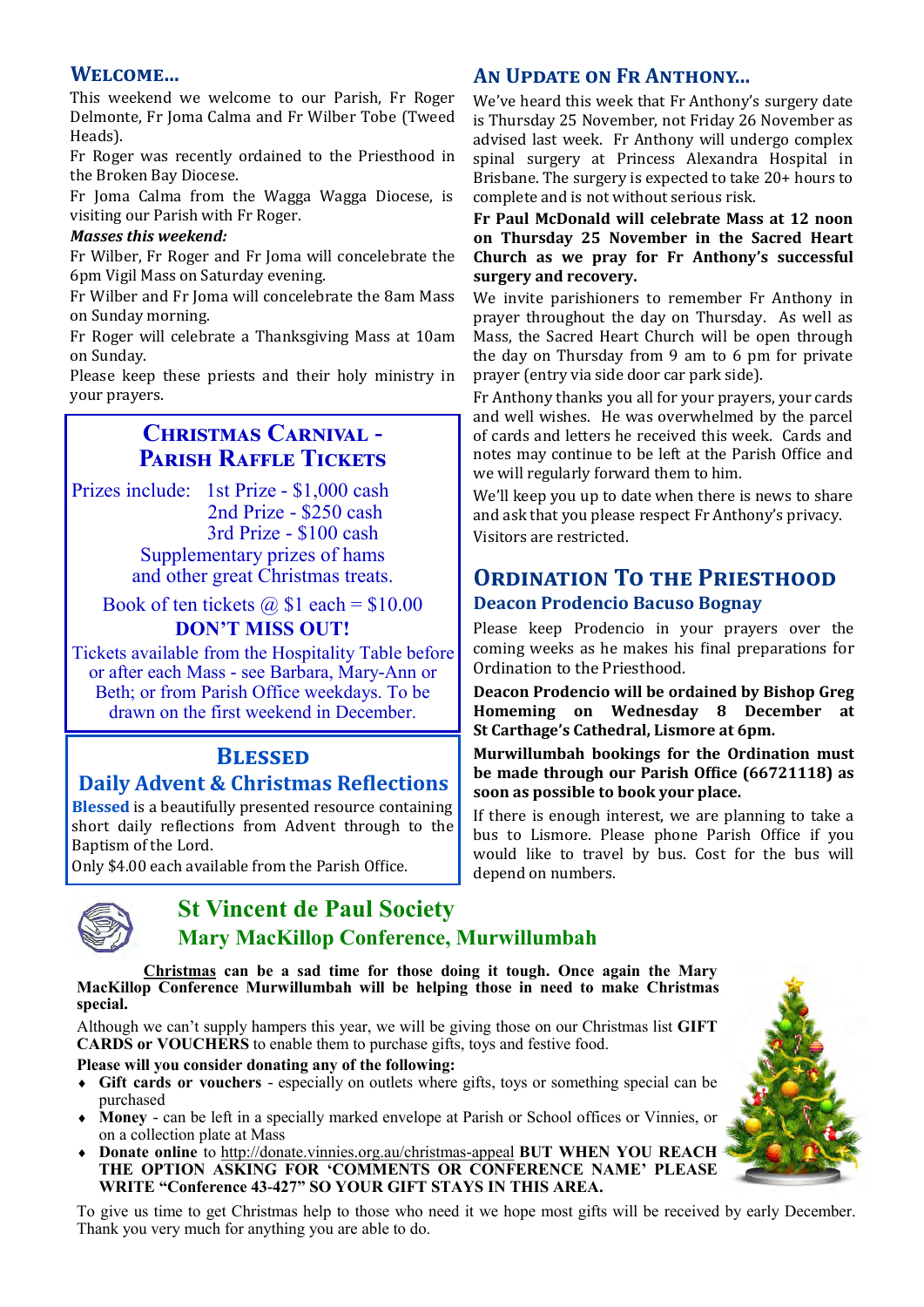#### **Welcome...**

This weekend we welcome to our Parish, Fr Roger Delmonte, Fr Joma Calma and Fr Wilber Tobe (Tweed Heads).

Fr Roger was recently ordained to the Priesthood in the Broken Bay Diocese.

Fr Joma Calma from the Wagga Wagga Diocese, is visiting our Parish with Fr Roger.

#### *Masses this weekend:*

Fr Wilber, Fr Roger and Fr Joma will concelebrate the 6pm Vigil Mass on Saturday evening.

Fr Wilber and Fr Joma will concelebrate the 8am Mass on Sunday morning.

Fr Roger will celebrate a Thanksgiving Mass at 10am on Sunday.

Please keep these priests and their holy ministry in your prayers.

#### **Christmas Carnival - Parish Raffle Tickets**

Prizes include: 1st Prize - \$1,000 cash 2nd Prize - \$250 cash 3rd Prize - \$100 cash Supplementary prizes of hams and other great Christmas treats.

Book of ten tickets  $\omega$  \$1 each = \$10.00 **DON'T MISS OUT!**

Tickets available from the Hospitality Table before or after each Mass - see Barbara, Mary-Ann or Beth; or from Parish Office weekdays. To be drawn on the first weekend in December.

## **Blessed**

#### **Daily Advent & Christmas Reflections**

**Blessed** is a beautifully presented resource containing short daily reflections from Advent through to the Baptism of the Lord.

Only \$4.00 each available from the Parish Office.

## **St Vincent de Paul Society Mary MacKillop Conference, Murwillumbah**

#### **Christmas can be a sad time for those doing it tough. Once again the Mary MacKillop Conference Murwillumbah will be helping those in need to make Christmas special.**

Although we can't supply hampers this year, we will be giving those on our Christmas list **GIFT CARDS or VOUCHERS** to enable them to purchase gifts, toys and festive food.

#### **Please will you consider donating any of the following:**

- **Gift cards or vouchers**  especially on outlets where gifts, toys or something special can be purchased
- **Money**  can be left in a specially marked envelope at Parish or School offices or Vinnies, or on a collection plate at Mass
- **Donate online** to http://donate.vinnies.org.au/christmas-appeal **BUT WHEN YOU REACH THE OPTION ASKING FOR 'COMMENTS OR CONFERENCE NAME' PLEASE WRITE "Conference 43-427" SO YOUR GIFT STAYS IN THIS AREA.**

To give us time to get Christmas help to those who need it we hope most gifts will be received by early December. Thank you very much for anything you are able to do.

#### **An Update on Fr Anthony...**

We've heard this week that Fr Anthony's surgery date is Thursday 25 November, not Friday 26 November as advised last week. Fr Anthony will undergo complex spinal surgery at Princess Alexandra Hospital in Brisbane. The surgery is expected to take 20+ hours to complete and is not without serious risk.

**Fr Paul McDonald will celebrate Mass at 12 noon on Thursday 25 November in the Sacred Heart Church as we pray for Fr Anthony's successful surgery and recovery.** 

We invite parishioners to remember Fr Anthony in prayer throughout the day on Thursday. As well as Mass, the Sacred Heart Church will be open through the day on Thursday from 9 am to 6 pm for private prayer (entry via side door car park side).

Fr Anthony thanks you all for your prayers, your cards and well wishes. He was overwhelmed by the parcel of cards and letters he received this week. Cards and notes may continue to be left at the Parish Office and we will regularly forward them to him.

We'll keep you up to date when there is news to share and ask that you please respect Fr Anthony's privacy. Visitors are restricted.

#### **ORDINATION TO THE PRIESTHOOD Deacon Prodencio Bacuso Bognay**

Please keep Prodencio in your prayers over the coming weeks as he makes his final preparations for Ordination to the Priesthood.

**Deacon Prodencio will be ordained by Bishop Greg Homeming on Wednesday 8 December at St Carthage's Cathedral, Lismore at 6pm.** 

**Murwillumbah bookings for the Ordination must be made through our Parish Office (66721118) as soon as possible to book your place.** 

If there is enough interest, we are planning to take a bus to Lismore. Please phone Parish Office if you would like to travel by bus. Cost for the bus will depend on numbers.

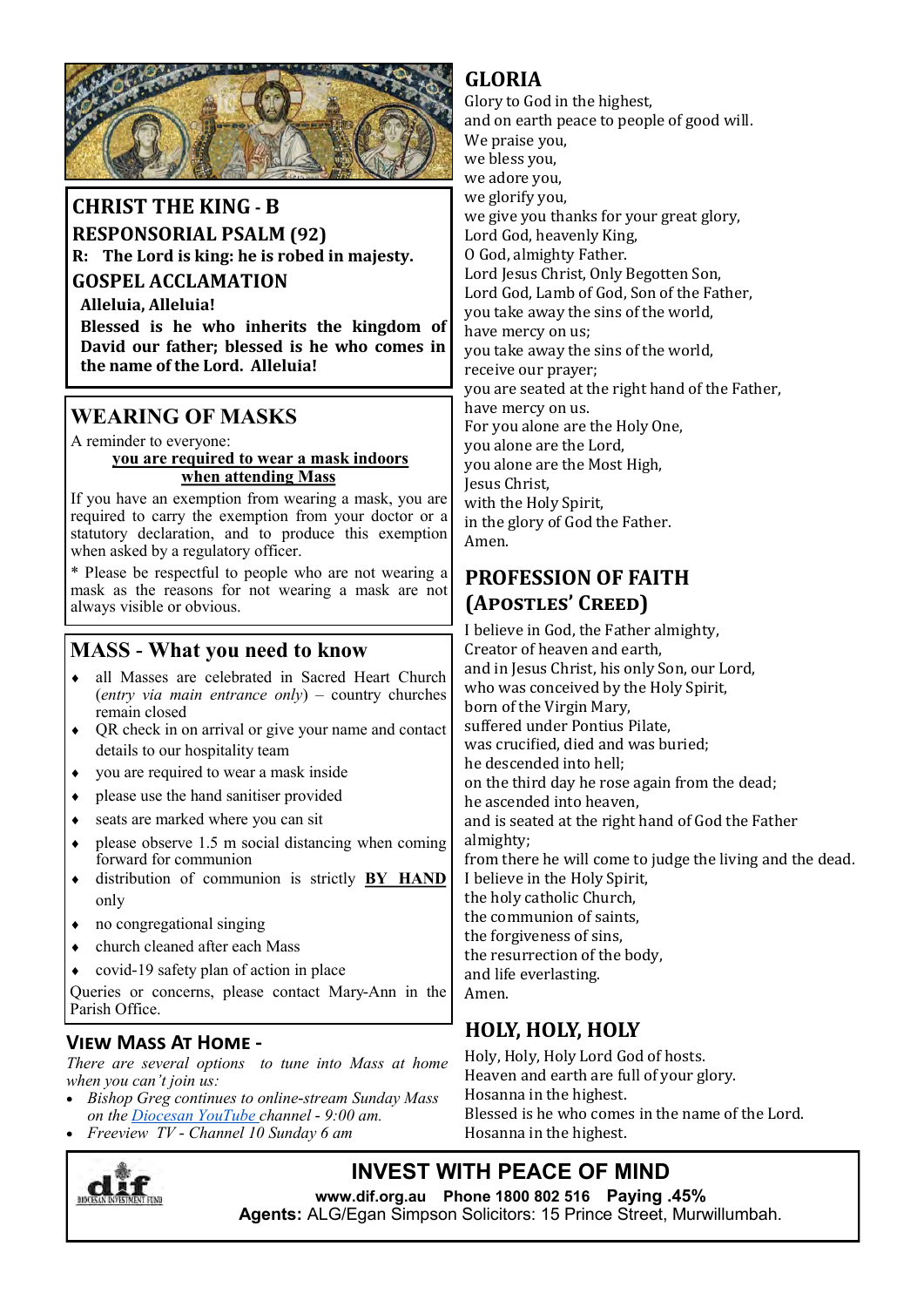

#### **CHRIST THE KING - B**

**RESPONSORIAL PSALM (92)**

**R: The Lord is king: he is robed in majesty.** 

**GOSPEL ACCLAMATION** 

**Alleluia, Alleluia!** 

**Blessed is he who inherits the kingdom of David our father; blessed is he who comes in the name of the Lord. Alleluia!**

## **WEARING OF MASKS**

A reminder to everyone:

#### **you are required to wear a mask indoors when attending Mass**

If you have an exemption from wearing a mask, you are required to carry the exemption from your doctor or a statutory declaration, and to produce this exemption when asked by a regulatory officer.

\* Please be respectful to people who are not wearing a mask as the reasons for not wearing a mask are not always visible or obvious.

## **MASS - What you need to know**

- all Masses are celebrated in Sacred Heart Church (*entry via main entrance only*) – country churches remain closed
- QR check in on arrival or give your name and contact details to our hospitality team
- you are required to wear a mask inside
- please use the hand sanitiser provided
- seats are marked where you can sit
- $\bullet$  please observe 1.5 m social distancing when coming forward for communion
- distribution of communion is strictly **BY HAND**  only
- no congregational singing
- church cleaned after each Mass
- covid-19 safety plan of action in place

Queries or concerns, please contact Mary-Ann in the Parish Office.

#### **View Mass At Home -**

*There are several options to tune into Mass at home when you can't join us:* 

- *Bishop Greg continues to online-stream Sunday Mass on the Diocesan YouTube channel - 9:00 am.*
- *Freeview TV - Channel 10 Sunday 6 am*



### **GLORIA**

Glory to God in the highest, and on earth peace to people of good will. We praise you, we bless you, we adore you, we glorify you, we give you thanks for your great glory, Lord God, heavenly King, O God, almighty Father. Lord Jesus Christ, Only Begotten Son, Lord God, Lamb of God, Son of the Father, you take away the sins of the world, have mercy on us; you take away the sins of the world, receive our prayer; you are seated at the right hand of the Father, have mercy on us. For you alone are the Holy One, you alone are the Lord, you alone are the Most High, Jesus Christ, with the Holy Spirit, in the glory of God the Father. Amen.

### **PROFESSION OF FAITH (Apostles' Creed)**

I believe in God, the Father almighty, Creator of heaven and earth, and in Jesus Christ, his only Son, our Lord, who was conceived by the Holy Spirit, born of the Virgin Mary, suffered under Pontius Pilate, was crucified, died and was buried; he descended into hell; on the third day he rose again from the dead; he ascended into heaven, and is seated at the right hand of God the Father almighty; from there he will come to judge the living and the dead. I believe in the Holy Spirit, the holy catholic Church, the communion of saints, the forgiveness of sins, the resurrection of the body, and life everlasting. Amen.

## **HOLY, HOLY, HOLY**

Holy, Holy, Holy Lord God of hosts. Heaven and earth are full of your glory. Hosanna in the highest. Blessed is he who comes in the name of the Lord. Hosanna in the highest.

## **INVEST WITH PEACE OF MIND**

**www.dif.org.au Phone 1800 802 516 Paying .45% Agents:** ALG/Egan Simpson Solicitors: 15 Prince Street, Murwillumbah.